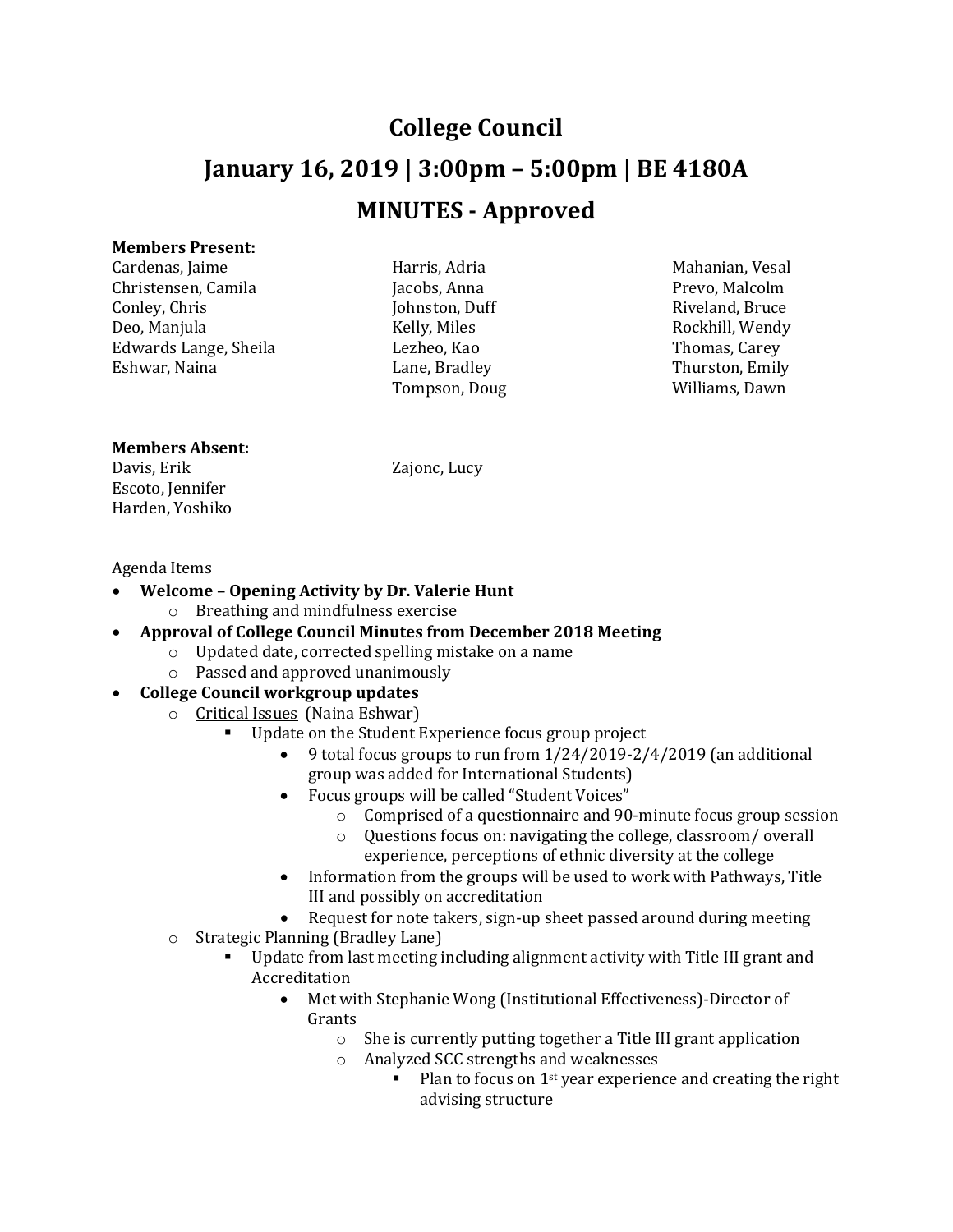## **College Council January 16, 2019 | 3:00pm – 5:00pm | BE 4180A MINUTES - Approved**

## **Members Present:**

Cardenas, Jaime **Mahanian, Vesal Harris, Adria** Mahanian, Vesal Christensen, Camila Jacobs, Anna Prevo, Malcolm Conley, Chris Johnston, Duff Riveland, Bruce Edwards Lange, Sheila Lezheo, Kao Thomas, Carey

Tompson, Doug

Deo, Manjula Kelly, Miles Rockhill, Wendy Thurston, Emily<br>Williams, Dawn

## **Members Absent:**

Davis, Erik Zajonc, Lucy Escoto, Jennifer Harden, Yoshiko

## Agenda Items

- **Welcome – Opening Activity by Dr. Valerie Hunt** o Breathing and mindfulness exercise
- **Approval of College Council Minutes from December 2018 Meeting**
	- o Updated date, corrected spelling mistake on a name
	- o Passed and approved unanimously
- **College Council workgroup updates** 
	- $\circ$  **Critical Issues** (Naina Eshwar)
		- Update on the Student Experience focus group project
			- 9 total focus groups to run from 1/24/2019-2/4/2019 (an additional group was added for International Students)
			- Focus groups will be called "Student Voices"
				- o Comprised of a questionnaire and 90-minute focus group session
				- o Questions focus on: navigating the college, classroom/ overall experience, perceptions of ethnic diversity at the college
			- Information from the groups will be used to work with Pathways, Title III and possibly on accreditation
			- Request for note takers, sign-up sheet passed around during meeting
	- o Strategic Planning (Bradley Lane)<br>■ Undate from last meeting i
		- Update from last meeting including alignment activity with Title III grant and Accreditation<br>• Met w
			- Met with Stephanie Wong (Institutional Effectiveness)-Director of Grants
				- o She is currently putting together a Title III grant application
				- o Analyzed SCC strengths and weaknesses
					- Plan to focus on 1st year experience and creating the right advising structure